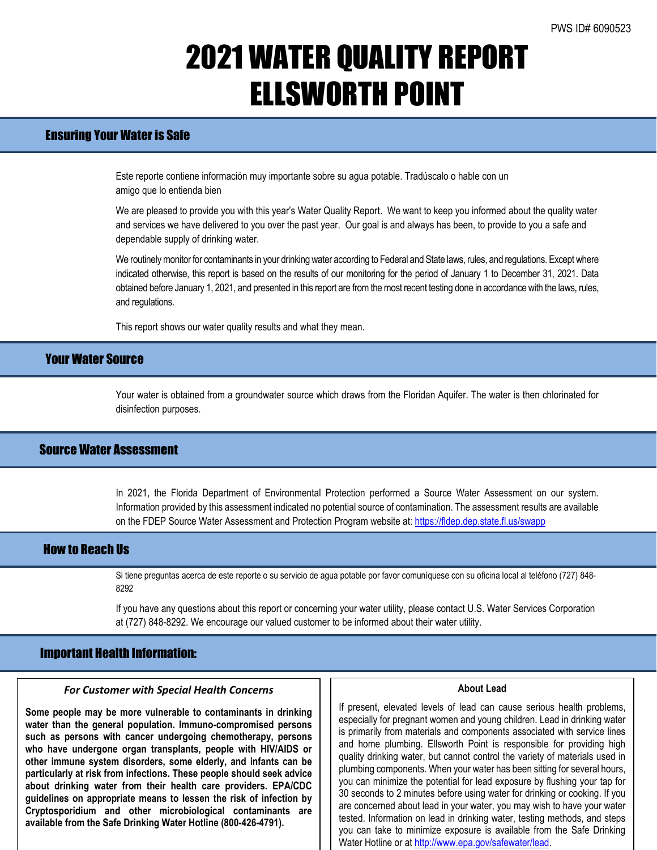## 2021 WATER QUALITY REPORT ELLSWORTH POINT

## Ensuring Your Water is Safe

Este reporte contiene información muy importante sobre su agua potable. Tradúscalo o hable con un amigo que lo entienda bien

We are pleased to provide you with this year's Water Quality Report. We want to keep you informed about the quality water and services we have delivered to you over the past year. Our goal is and always has been, to provide to you a safe and dependable supply of drinking water.

We routinely monitor for contaminants in your drinking water according to Federal and State laws, rules, and regulations. Except where indicated otherwise, this report is based on the results of our monitoring for the period of January 1 to December 31, 2021. Data obtained before January 1, 2021, and presented in this report are from the most recent testing done in accordance with the laws, rules, and regulations.

This report shows our water quality results and what they mean.

### Your Water Source

Your water is obtained from a groundwater source which draws from the Floridan Aquifer. The water is then chlorinated for disinfection purposes.

## Source Water Assessment

In 2021, the Florida Department of Environmental Protection performed a Source Water Assessment on our system. Information provided by this assessment indicated no potential source of contamination. The assessment results are available on the FDEP Source Water Assessment and Protection Program website at: <https://fldep.dep.state.fl.us/swapp>

### How to Reach Us

Si tiene preguntas acerca de este reporte o su servicio de agua potable por favor comuníquese con su oficina local al teléfono (727) 848- 8292

If you have any questions about this report or concerning your water utility, please contact U.S. Water Services Corporation at (727) 848-8292. We encourage our valued customer to be informed about their water utility.

### Important Health Information:

### *For Customer with Special Health Concerns*

**Some people may be more vulnerable to contaminants in drinking water than the general population. Immuno-compromised persons such as persons with cancer undergoing chemotherapy, persons who have undergone organ transplants, people with HIV/AIDS or other immune system disorders, some elderly, and infants can be particularly at risk from infections. These people should seek advice about drinking water from their health care providers. EPA/CDC guidelines on appropriate means to lessen the risk of infection by Cryptosporidium and other microbiological contaminants are available from the Safe Drinking Water Hotline (800-426-4791).**

### **About Lead**

If present, elevated levels of lead can cause serious health problems, especially for pregnant women and young children. Lead in drinking water is primarily from materials and components associated with service lines and home plumbing. Ellsworth Point is responsible for providing high quality drinking water, but cannot control the variety of materials used in plumbing components. When your water has been sitting for several hours, you can minimize the potential for lead exposure by flushing your tap for 30 seconds to 2 minutes before using water for drinking or cooking. If you are concerned about lead in your water, you may wish to have your water tested. Information on lead in drinking water, testing methods, and steps you can take to minimize exposure is available from the Safe Drinking Water Hotline or a[t http://www.epa.gov/safewater/lead.](http://www.epa.gov/safewater/lead)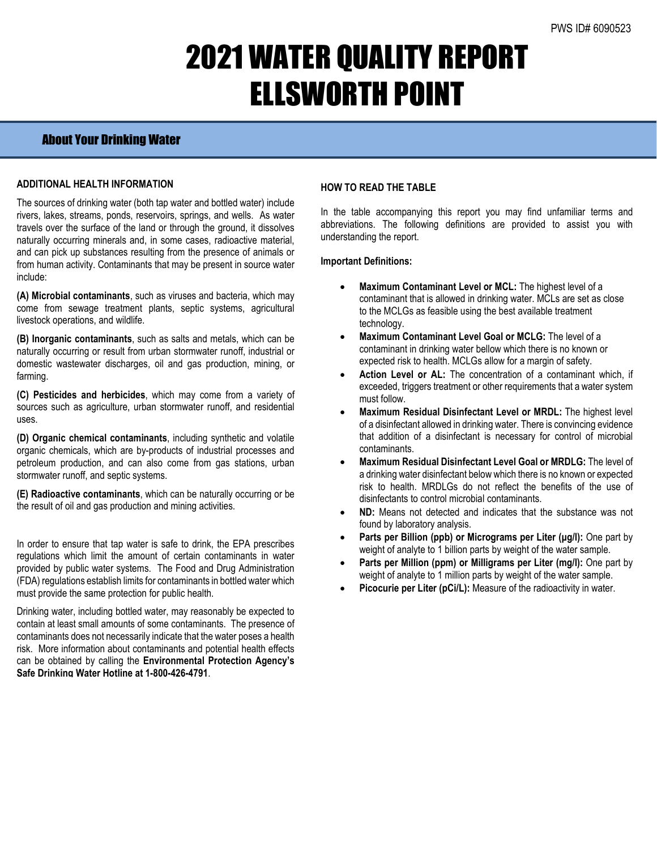## 2021 WATER QUALITY REPORT ELLSWORTH POINT

## About Your Drinking Water

### **ADDITIONAL HEALTH INFORMATION**

The sources of drinking water (both tap water and bottled water) include rivers, lakes, streams, ponds, reservoirs, springs, and wells. As water travels over the surface of the land or through the ground, it dissolves naturally occurring minerals and, in some cases, radioactive material, and can pick up substances resulting from the presence of animals or from human activity. Contaminants that may be present in source water include:

**(A) Microbial contaminants**, such as viruses and bacteria, which may come from sewage treatment plants, septic systems, agricultural livestock operations, and wildlife.

**(B) Inorganic contaminants**, such as salts and metals, which can be naturally occurring or result from urban stormwater runoff, industrial or domestic wastewater discharges, oil and gas production, mining, or farming.

**(C) Pesticides and herbicides**, which may come from a variety of sources such as agriculture, urban stormwater runoff, and residential uses.

**(D) Organic chemical contaminants**, including synthetic and volatile organic chemicals, which are by-products of industrial processes and petroleum production, and can also come from gas stations, urban stormwater runoff, and septic systems.

**(E) Radioactive contaminants**, which can be naturally occurring or be the result of oil and gas production and mining activities.

In order to ensure that tap water is safe to drink, the EPA prescribes regulations which limit the amount of certain contaminants in water provided by public water systems. The Food and Drug Administration (FDA) regulations establish limits for contaminants in bottled water which must provide the same protection for public health.

Drinking water, including bottled water, may reasonably be expected to contain at least small amounts of some contaminants. The presence of contaminants does not necessarily indicate that the water poses a health risk. More information about contaminants and potential health effects can be obtained by calling the **Environmental Protection Agency's Safe Drinking Water Hotline at 1-800-426-4791**.

### **HOW TO READ THE TABLE**

In the table accompanying this report you may find unfamiliar terms and abbreviations. The following definitions are provided to assist you with understanding the report.

#### **Important Definitions:**

- **Maximum Contaminant Level or MCL:** The highest level of a contaminant that is allowed in drinking water. MCLs are set as close to the MCLGs as feasible using the best available treatment technology.
- **Maximum Contaminant Level Goal or MCLG:** The level of a contaminant in drinking water bellow which there is no known or expected risk to health. MCLGs allow for a margin of safety.
- Action Level or AL: The concentration of a contaminant which, if exceeded, triggers treatment or other requirements that a water system must follow.
- **Maximum Residual Disinfectant Level or MRDL:** The highest level of a disinfectant allowed in drinking water. There is convincing evidence that addition of a disinfectant is necessary for control of microbial contaminants.
- **Maximum Residual Disinfectant Level Goal or MRDLG:** The level of a drinking water disinfectant below which there is no known or expected risk to health. MRDLGs do not reflect the benefits of the use of disinfectants to control microbial contaminants.
- **ND:** Means not detected and indicates that the substance was not found by laboratory analysis.
- **Parts per Billion (ppb) or Micrograms per Liter (μg/l):** One part by weight of analyte to 1 billion parts by weight of the water sample.
- **Parts per Million (ppm) or Milligrams per Liter (mg/l):** One part by weight of analyte to 1 million parts by weight of the water sample.
- **Picocurie per Liter (pCi/L):** Measure of the radioactivity in water.